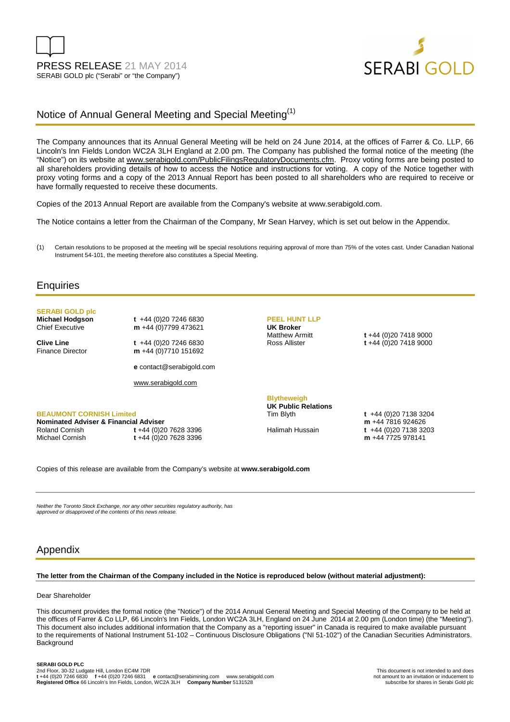



## Notice of Annual General Meeting and Special Meeting<sup>(1)</sup>

The Company announces that its Annual General Meeting will be held on 24 June 2014, at the offices of Farrer & Co. LLP, 66 Lincoln's Inn Fields London WC2A 3LH England at 2.00 pm. The Company has published the formal notice of the meeting (the "Notice") on its website at www.serabigold.com/PublicFilingsRegulatoryDocuments.cfm. Proxy voting forms are being posted to all shareholders providing details of how to access the Notice and instructions for voting. A copy of the Notice together with proxy voting forms and a copy of the 2013 Annual Report has been posted to all shareholders who are required to receive or have formally requested to receive these documents.

Copies of the 2013 Annual Report are available from the Company's website at www.serabigold.com.

The Notice contains a letter from the Chairman of the Company, Mr Sean Harvey, which is set out below in the Appendix.

(1) Certain resolutions to be proposed at the meeting will be special resolutions requiring approval of more than 75% of the votes cast. Under Canadian National Instrument 54-101, the meeting therefore also constitutes a Special Meeting.

#### **Enquiries**

## **SERABI GOLD plc**

**BEAUMONT CORNISH Limited Nominated Adviser & Financial Adviser** 

**Michael Hodgson t** +44 (0)20 7246 6830<br>Chief Executive **m** +44 (0)7799 473621 m +44 (0)7799 473621

**Clive Line** t +44 (0)20 7246 6830<br>Finance Director **m** +44 (0)7710 151692 m +44 (0)7710 151692

**e** contact@serabigold.com

www.serabigold.com

Michael Cornish **t** +44 (0)20 7628 3396

# **UK Broker**

**PEEL HUNT LLP** 

Matthew Armitt **t** +44 (0)20 7418 9000 Ross Allister **t** +44 (0)20 7418 9000

**Blytheweigh** 

**UK Public Relations** 

Tim Blyth **t** +44 (0)20 7138 3204 **m** +44 7816 924626 Halimah Hussain **t** +44 (0)20 7138 3203 **m** +44 7725 978141

Copies of this release are available from the Company's website at **www.serabigold.com** 

Neither the Toronto Stock Exchange, nor any other securities regulatory authority, has approved or disapproved of the contents of this news release.

Roland Cornish **t** +44 (0)20 7628 3396

### Appendix

#### **The letter from the Chairman of the Company included in the Notice is reproduced below (without material adjustment):**

#### Dear Shareholder

This document provides the formal notice (the "Notice") of the 2014 Annual General Meeting and Special Meeting of the Company to be held at the offices of Farrer & Co LLP, 66 Lincoln's Inn Fields, London WC2A 3LH, England on 24 June 2014 at 2.00 pm (London time) (the "Meeting"). This document also includes additional information that the Company as a "reporting issuer" in Canada is required to make available pursuant to the requirements of National Instrument 51-102 – Continuous Disclosure Obligations ("NI 51-102") of the Canadian Securities Administrators. **Background**